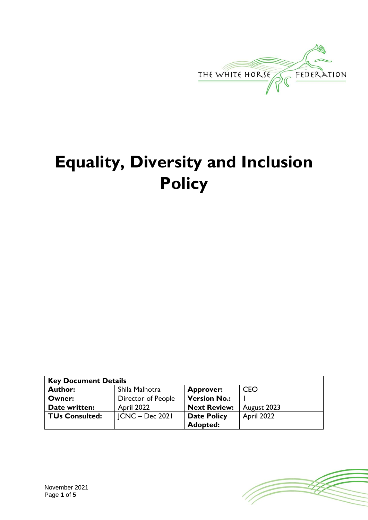

# **Equality, Diversity and Inclusion Policy**

| <b>Key Document Details</b> |                    |                     |             |
|-----------------------------|--------------------|---------------------|-------------|
| <b>Author:</b>              | Shila Malhotra     | <b>Approver:</b>    | <b>CEO</b>  |
| Owner:                      | Director of People | <b>Version No.:</b> |             |
| Date written:               | April 2022         | <b>Next Review:</b> | August 2023 |
| <b>TUs Consulted:</b>       | $ CNC - Dec 202 $  | <b>Date Policy</b>  | April 2022  |
|                             |                    | Adopted:            |             |

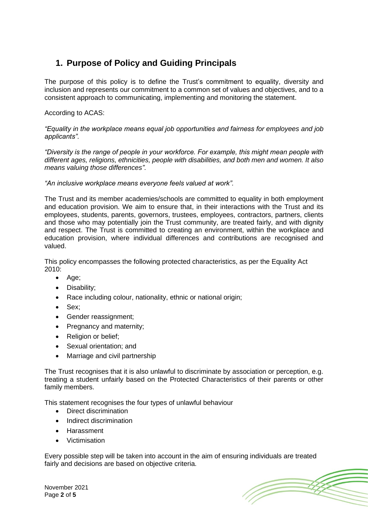# **1. Purpose of Policy and Guiding Principals**

The purpose of this policy is to define the Trust's commitment to equality, diversity and inclusion and represents our commitment to a common set of values and objectives, and to a consistent approach to communicating, implementing and monitoring the statement.

#### According to ACAS:

*"Equality in the workplace means equal job opportunities and fairness for employees and job applicants".*

*"Diversity is the range of people in your workforce. For example, this might mean people with different ages, religions, ethnicities, people with disabilities, and both men and women. It also means valuing those differences".*

#### *"An inclusive workplace means everyone feels valued at work".*

The Trust and its member academies/schools are committed to equality in both employment and education provision. We aim to ensure that, in their interactions with the Trust and its employees, students, parents, governors, trustees, employees, contractors, partners, clients and those who may potentially join the Trust community, are treated fairly, and with dignity and respect. The Trust is committed to creating an environment, within the workplace and education provision, where individual differences and contributions are recognised and valued.

This policy encompasses the following protected characteristics, as per the Equality Act 2010:

- Age;
- Disability;
- Race including colour, nationality, ethnic or national origin;
- Sex;
- Gender reassignment:
- Pregnancy and maternity;
- Religion or belief;
- Sexual orientation; and
- Marriage and civil partnership

The Trust recognises that it is also unlawful to discriminate by association or perception, e.g. treating a student unfairly based on the Protected Characteristics of their parents or other family members.

This statement recognises the four types of unlawful behaviour

- Direct discrimination
- Indirect discrimination
- Harassment
- Victimisation

Every possible step will be taken into account in the aim of ensuring individuals are treated fairly and decisions are based on objective criteria.



November 2021 Page **2** of **5**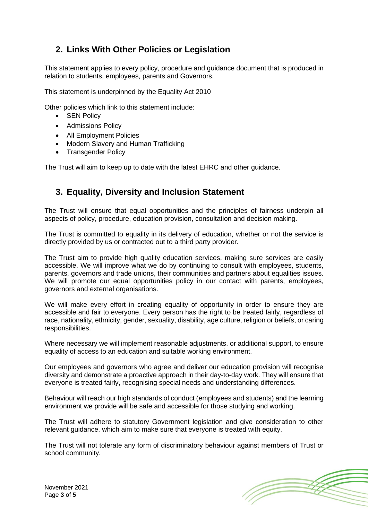# **2. Links With Other Policies or Legislation**

This statement applies to every policy, procedure and guidance document that is produced in relation to students, employees, parents and Governors.

This statement is underpinned by the Equality Act 2010

Other policies which link to this statement include:

- SEN Policy
- Admissions Policy
- All Employment Policies
- Modern Slavery and Human Trafficking
- Transgender Policy

The Trust will aim to keep up to date with the latest EHRC and other guidance.

# **3. Equality, Diversity and Inclusion Statement**

The Trust will ensure that equal opportunities and the principles of fairness underpin all aspects of policy, procedure, education provision, consultation and decision making.

The Trust is committed to equality in its delivery of education, whether or not the service is directly provided by us or contracted out to a third party provider.

The Trust aim to provide high quality education services, making sure services are easily accessible. We will improve what we do by continuing to consult with employees, students, parents, governors and trade unions, their communities and partners about equalities issues. We will promote our equal opportunities policy in our contact with parents, employees, governors and external organisations.

We will make every effort in creating equality of opportunity in order to ensure they are accessible and fair to everyone. Every person has the right to be treated fairly, regardless of race, nationality, ethnicity, gender, sexuality, disability, age culture, religion or beliefs, or caring responsibilities.

Where necessary we will implement reasonable adjustments, or additional support, to ensure equality of access to an education and suitable working environment.

Our employees and governors who agree and deliver our education provision will recognise diversity and demonstrate a proactive approach in their day-to-day work. They will ensure that everyone is treated fairly, recognising special needs and understanding differences.

Behaviour will reach our high standards of conduct (employees and students) and the learning environment we provide will be safe and accessible for those studying and working.

The Trust will adhere to statutory Government legislation and give consideration to other relevant guidance, which aim to make sure that everyone is treated with equity.

The Trust will not tolerate any form of discriminatory behaviour against members of Trust or school community.



November 2021 Page **3** of **5**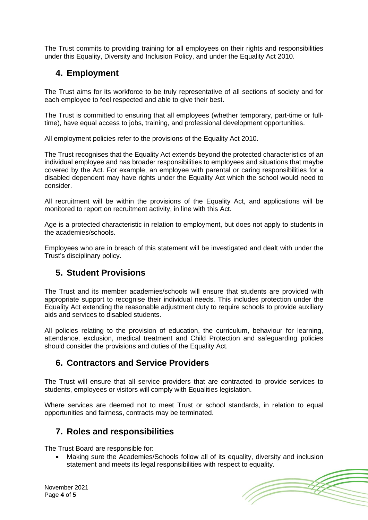The Trust commits to providing training for all employees on their rights and responsibilities under this Equality, Diversity and Inclusion Policy, and under the Equality Act 2010.

# **4. Employment**

The Trust aims for its workforce to be truly representative of all sections of society and for each employee to feel respected and able to give their best.

The Trust is committed to ensuring that all employees (whether temporary, part-time or fulltime), have equal access to jobs, training, and professional development opportunities.

All employment policies refer to the provisions of the Equality Act 2010.

The Trust recognises that the Equality Act extends beyond the protected characteristics of an individual employee and has broader responsibilities to employees and situations that maybe covered by the Act. For example, an employee with parental or caring responsibilities for a disabled dependent may have rights under the Equality Act which the school would need to consider.

All recruitment will be within the provisions of the Equality Act, and applications will be monitored to report on recruitment activity, in line with this Act.

Age is a protected characteristic in relation to employment, but does not apply to students in the academies/schools.

Employees who are in breach of this statement will be investigated and dealt with under the Trust's disciplinary policy.

# **5. Student Provisions**

The Trust and its member academies/schools will ensure that students are provided with appropriate support to recognise their individual needs. This includes protection under the Equality Act extending the reasonable adjustment duty to require schools to provide auxiliary aids and services to disabled students.

All policies relating to the provision of education, the curriculum, behaviour for learning, attendance, exclusion, medical treatment and Child Protection and safeguarding policies should consider the provisions and duties of the Equality Act.

# **6. Contractors and Service Providers**

The Trust will ensure that all service providers that are contracted to provide services to students, employees or visitors will comply with Equalities legislation.

Where services are deemed not to meet Trust or school standards, in relation to equal opportunities and fairness, contracts may be terminated.

# **7. Roles and responsibilities**

The Trust Board are responsible for:

• Making sure the Academies/Schools follow all of its equality, diversity and inclusion statement and meets its legal responsibilities with respect to equality.